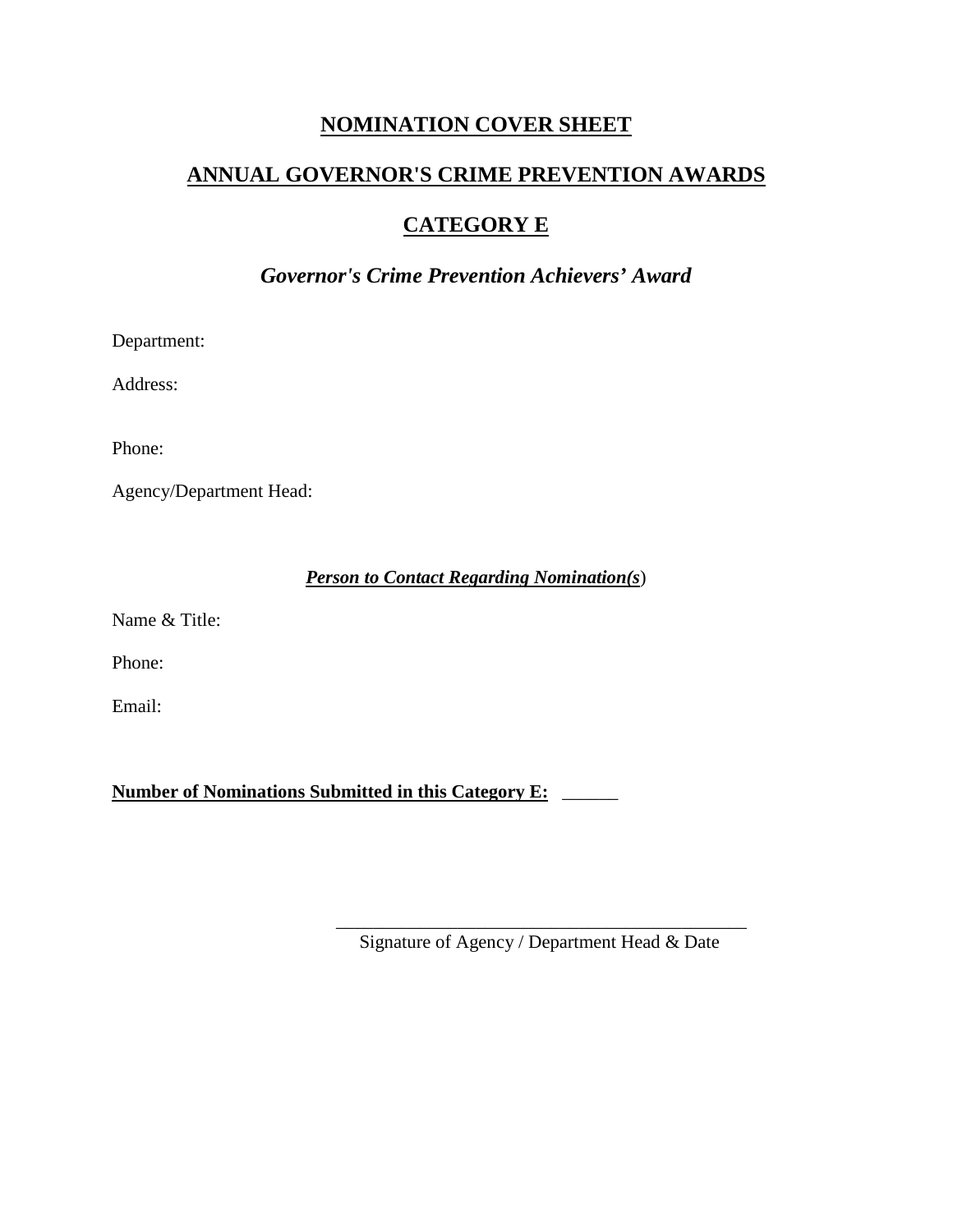## **NOMINATION COVER SHEET**

# **ANNUAL GOVERNOR'S CRIME PREVENTION AWARDS**

## **CATEGORY E**

## *Governor's Crime Prevention Achievers' Award*

Department:

Address:

Phone:

Agency/Department Head:

### *Person to Contact Regarding Nomination(s*)

Name & Title:

Phone:

Email:

**Number of Nominations Submitted in this Category E:** \_\_\_\_\_\_

\_\_\_\_\_\_\_\_\_\_\_\_\_\_\_\_\_\_\_\_\_\_\_\_\_\_\_\_\_\_\_\_\_\_\_\_\_\_\_\_\_\_\_\_ Signature of Agency / Department Head & Date